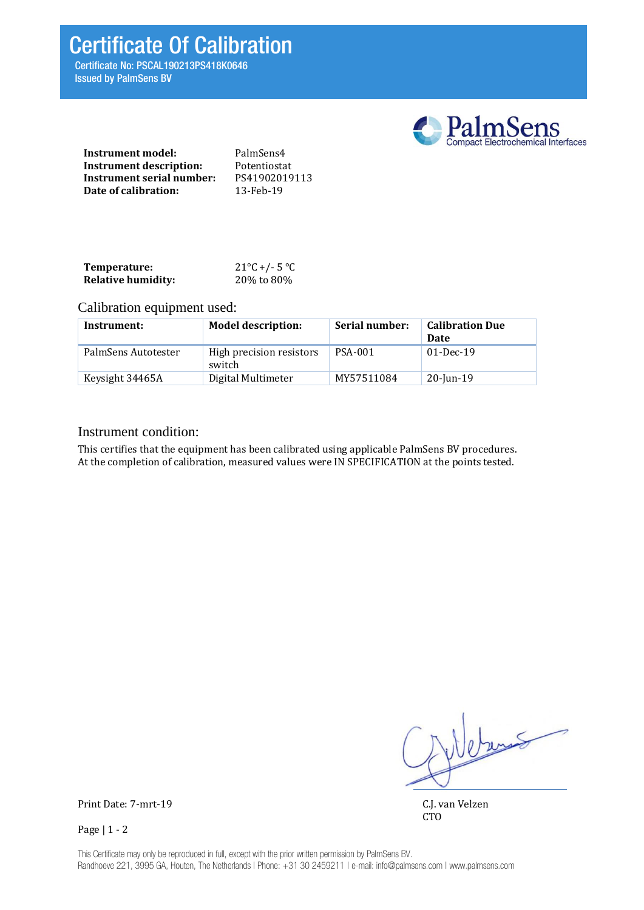Certificate Of Calibration

Certificate No: PSCAL190213PS418K0646 Issued by PalmSens BV



| Instrument model:         | PalmSens4     |
|---------------------------|---------------|
| Instrument description:   | Potentiostat  |
| Instrument serial number: | PS41902019113 |
| Date of calibration:      | 13-Feb-19     |

| Temperature:              | $21^{\circ}$ C +/- 5 $^{\circ}$ C |
|---------------------------|-----------------------------------|
| <b>Relative humidity:</b> | 20% to 80%                        |

# Calibration equipment used:

| Instrument:         | <b>Model description:</b>          | Serial number: | <b>Calibration Due</b><br>Date |
|---------------------|------------------------------------|----------------|--------------------------------|
| PalmSens Autotester | High precision resistors<br>switch | <b>PSA-001</b> | $01-Dec-19$                    |
| Keysight 34465A     | Digital Multimeter                 | MY57511084     | $20$ -Jun-19                   |

## Instrument condition:

This certifies that the equipment has been calibrated using applicable PalmSens BV procedures. At the completion of calibration, measured values were IN SPECIFICATION at the points tested.

Weburn

CTO

Print Date: 7-mrt-19 C.J. van Velzen

Page | 1 - 2